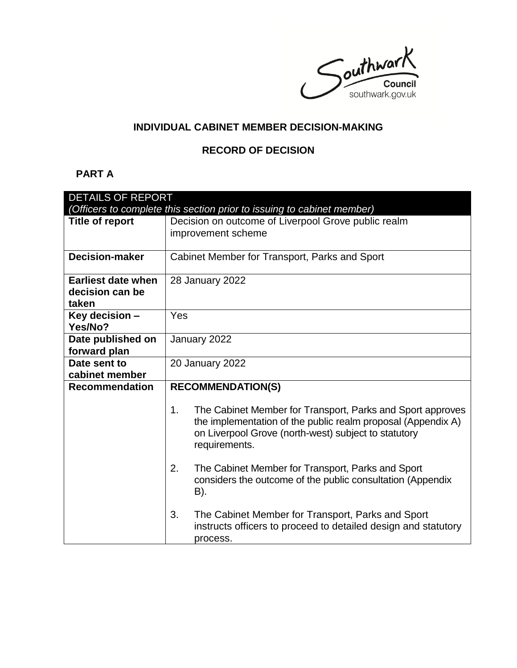Southwark southwark.gov.uk

# **INDIVIDUAL CABINET MEMBER DECISION-MAKING**

# **RECORD OF DECISION**

# **PART A**

| <b>DETAILS OF REPORT</b>                                               |                                                                                                                                  |  |
|------------------------------------------------------------------------|----------------------------------------------------------------------------------------------------------------------------------|--|
| (Officers to complete this section prior to issuing to cabinet member) |                                                                                                                                  |  |
| <b>Title of report</b>                                                 | Decision on outcome of Liverpool Grove public realm                                                                              |  |
|                                                                        | improvement scheme                                                                                                               |  |
|                                                                        |                                                                                                                                  |  |
| <b>Decision-maker</b>                                                  | Cabinet Member for Transport, Parks and Sport                                                                                    |  |
|                                                                        |                                                                                                                                  |  |
| <b>Earliest date when</b>                                              | 28 January 2022                                                                                                                  |  |
| decision can be                                                        |                                                                                                                                  |  |
| taken                                                                  |                                                                                                                                  |  |
| Key decision -                                                         | Yes                                                                                                                              |  |
| Yes/No?                                                                |                                                                                                                                  |  |
| Date published on                                                      | January 2022                                                                                                                     |  |
| forward plan                                                           |                                                                                                                                  |  |
| Date sent to                                                           | <b>20 January 2022</b>                                                                                                           |  |
| cabinet member                                                         |                                                                                                                                  |  |
| <b>Recommendation</b>                                                  | <b>RECOMMENDATION(S)</b>                                                                                                         |  |
|                                                                        |                                                                                                                                  |  |
|                                                                        | The Cabinet Member for Transport, Parks and Sport approves<br>1.<br>the implementation of the public realm proposal (Appendix A) |  |
|                                                                        | on Liverpool Grove (north-west) subject to statutory                                                                             |  |
|                                                                        | requirements.                                                                                                                    |  |
|                                                                        | 2.<br>The Cabinet Member for Transport, Parks and Sport                                                                          |  |
|                                                                        | considers the outcome of the public consultation (Appendix                                                                       |  |
|                                                                        | B).                                                                                                                              |  |
|                                                                        | 3.<br>The Cabinet Member for Transport, Parks and Sport                                                                          |  |
|                                                                        | instructs officers to proceed to detailed design and statutory                                                                   |  |
|                                                                        | process.                                                                                                                         |  |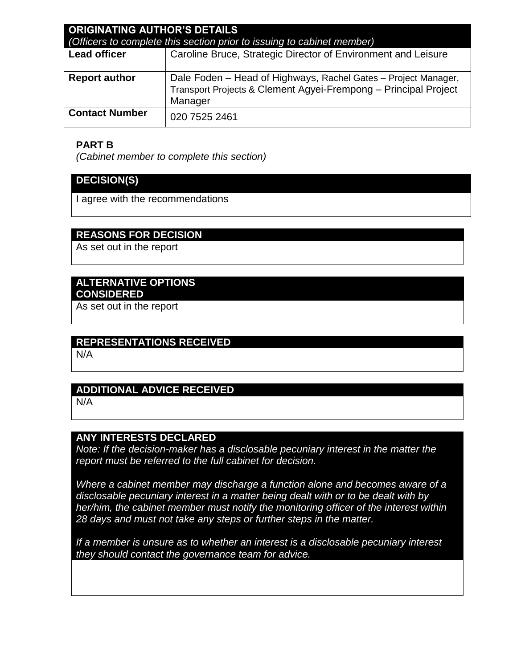| <b>ORIGINATING AUTHOR'S DETAILS</b><br>(Officers to complete this section prior to issuing to cabinet member) |                                                                                                                                              |
|---------------------------------------------------------------------------------------------------------------|----------------------------------------------------------------------------------------------------------------------------------------------|
| <b>Lead officer</b>                                                                                           | Caroline Bruce, Strategic Director of Environment and Leisure                                                                                |
| <b>Report author</b>                                                                                          | Dale Foden - Head of Highways, Rachel Gates - Project Manager,<br>Transport Projects & Clement Agyei-Frempong - Principal Project<br>Manager |
| <b>Contact Number</b>                                                                                         | 020 7525 2461                                                                                                                                |

# **PART B**

*(Cabinet member to complete this section)* 

# **DECISION(S)**

I agree with the recommendations

# **REASONS FOR DECISION**

As set out in the report

## **ALTERNATIVE OPTIONS CONSIDERED**

As set out in the report

### **REPRESENTATIONS RECEIVED**

N/A

### **ADDITIONAL ADVICE RECEIVED**

N/A

# **ANY INTERESTS DECLARED**

*Note: If the decision-maker has a disclosable pecuniary interest in the matter the report must be referred to the full cabinet for decision.*

*Where a cabinet member may discharge a function alone and becomes aware of a disclosable pecuniary interest in a matter being dealt with or to be dealt with by her/him, the cabinet member must notify the monitoring officer of the interest within 28 days and must not take any steps or further steps in the matter.*

*If a member is unsure as to whether an interest is a disclosable pecuniary interest they should contact the governance team for advice.*